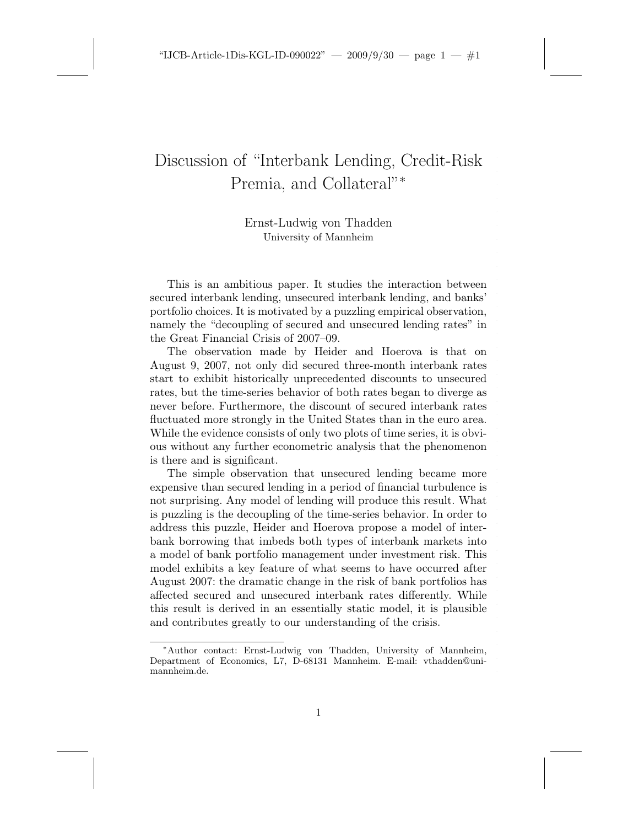## Discussion of "Interbank Lending, Credit-Risk Premia, and Collateral"<sup>\*</sup>

Ernst-Ludwig von Thadden University of Mannheim

This is an ambitious paper. It studies the interaction between secured interbank lending, unsecured interbank lending, and banks' portfolio choices. It is motivated by a puzzling empirical observation, namely the "decoupling of secured and unsecured lending rates" in the Great Financial Crisis of 2007–09.

The observation made by Heider and Hoerova is that on August 9, 2007, not only did secured three-month interbank rates start to exhibit historically unprecedented discounts to unsecured rates, but the time-series behavior of both rates began to diverge as never before. Furthermore, the discount of secured interbank rates fluctuated more strongly in the United States than in the euro area. While the evidence consists of only two plots of time series, it is obvious without any further econometric analysis that the phenomenon is there and is significant.

The simple observation that unsecured lending became more expensive than secured lending in a period of financial turbulence is not surprising. Any model of lending will produce this result. What is puzzling is the decoupling of the time-series behavior. In order to address this puzzle, Heider and Hoerova propose a model of interbank borrowing that imbeds both types of interbank markets into a model of bank portfolio management under investment risk. This model exhibits a key feature of what seems to have occurred after August 2007: the dramatic change in the risk of bank portfolios has affected secured and unsecured interbank rates differently. While this result is derived in an essentially static model, it is plausible and contributes greatly to our understanding of the crisis.

<sup>∗</sup>Author contact: Ernst-Ludwig von Thadden, University of Mannheim, Department of Economics, L7, D-68131 Mannheim. E-mail: vthadden@unimannheim.de.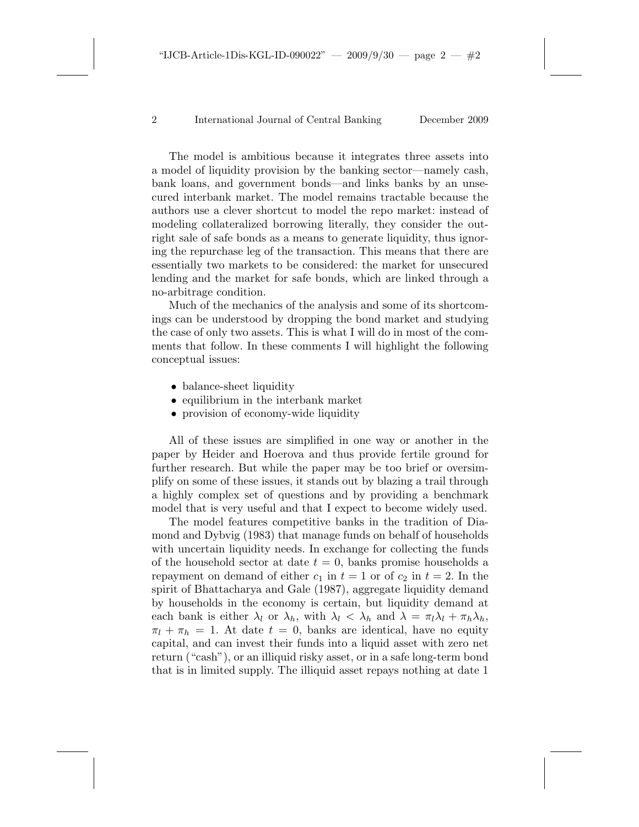2 International Journal of Central Banking December 2009

The model is ambitious because it integrates three assets into a model of liquidity provision by the banking sector—namely cash, bank loans, and government bonds—and links banks by an unsecured interbank market. The model remains tractable because the authors use a clever shortcut to model the repo market: instead of modeling collateralized borrowing literally, they consider the outright sale of safe bonds as a means to generate liquidity, thus ignoring the repurchase leg of the transaction. This means that there are essentially two markets to be considered: the market for unsecured lending and the market for safe bonds, which are linked through a no-arbitrage condition.

Much of the mechanics of the analysis and some of its shortcomings can be understood by dropping the bond market and studying the case of only two assets. This is what I will do in most of the comments that follow. In these comments I will highlight the following conceptual issues:

- balance-sheet liquidity
- equilibrium in the interbank market
- provision of economy-wide liquidity

All of these issues are simplified in one way or another in the paper by Heider and Hoerova and thus provide fertile ground for further research. But while the paper may be too brief or oversimplify on some of these issues, it stands out by blazing a trail through a highly complex set of questions and by providing a benchmark model that is very useful and that I expect to become widely used.

The model features competitive banks in the tradition of Diamond and Dybvig (1983) that manage funds on behalf of households with uncertain liquidity needs. In exchange for collecting the funds of the household sector at date  $t = 0$ , banks promise households a repayment on demand of either  $c_1$  in  $t = 1$  or of  $c_2$  in  $t = 2$ . In the spirit of Bhattacharya and Gale (1987), aggregate liquidity demand by households in the economy is certain, but liquidity demand at each bank is either  $\lambda_l$  or  $\lambda_h$ , with  $\lambda_l < \lambda_h$  and  $\lambda = \pi_l \lambda_l + \pi_h \lambda_h$ ,  $\pi_l + \pi_h = 1$ . At date  $t = 0$ , banks are identical, have no equity capital, and can invest their funds into a liquid asset with zero net return ("cash"), or an illiquid risky asset, or in a safe long-term bond that is in limited supply. The illiquid asset repays nothing at date 1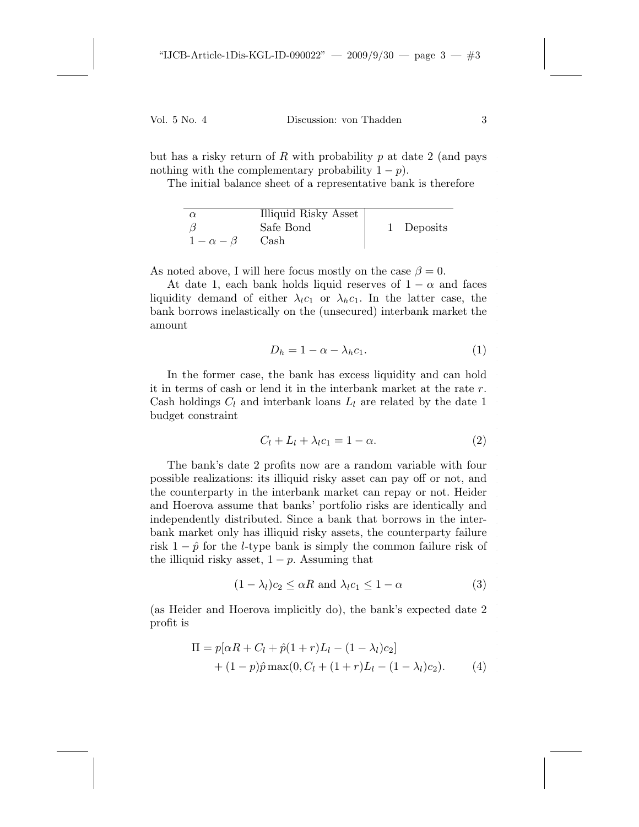but has a risky return of R with probability  $p$  at date 2 (and pays nothing with the complementary probability  $1 - p$ ).

The initial balance sheet of a representative bank is therefore

| $\alpha$         | Illiquid Risky Asset |            |
|------------------|----------------------|------------|
|                  | Safe Bond            | 1 Deposits |
| $1-\alpha-\beta$ | Cash                 |            |

As noted above, I will here focus mostly on the case  $\beta = 0$ .

At date 1, each bank holds liquid reserves of  $1 - \alpha$  and faces liquidity demand of either  $\lambda_l c_1$  or  $\lambda_h c_1$ . In the latter case, the bank borrows inelastically on the (unsecured) interbank market the amount

$$
D_h = 1 - \alpha - \lambda_h c_1. \tag{1}
$$

In the former case, the bank has excess liquidity and can hold it in terms of cash or lend it in the interbank market at the rate r. Cash holdings  $C_l$  and interbank loans  $L_l$  are related by the date 1 budget constraint

$$
C_l + L_l + \lambda_l c_1 = 1 - \alpha.
$$
 (2)

The bank's date 2 profits now are a random variable with four possible realizations: its illiquid risky asset can pay off or not, and the counterparty in the interbank market can repay or not. Heider and Hoerova assume that banks' portfolio risks are identically and independently distributed. Since a bank that borrows in the interbank market only has illiquid risky assets, the counterparty failure risk  $1 - \hat{p}$  for the *l*-type bank is simply the common failure risk of the illiquid risky asset,  $1 - p$ . Assuming that

$$
(1 - \lambda_l)c_2 \leq \alpha R \text{ and } \lambda_l c_1 \leq 1 - \alpha \tag{3}
$$

(as Heider and Hoerova implicitly do), the bank's expected date 2 profit is

$$
\Pi = p[\alpha R + C_l + \hat{p}(1+r)L_l - (1-\lambda_l)c_2] + (1-p)\hat{p}\max(0, C_l + (1+r)L_l - (1-\lambda_l)c_2).
$$
 (4)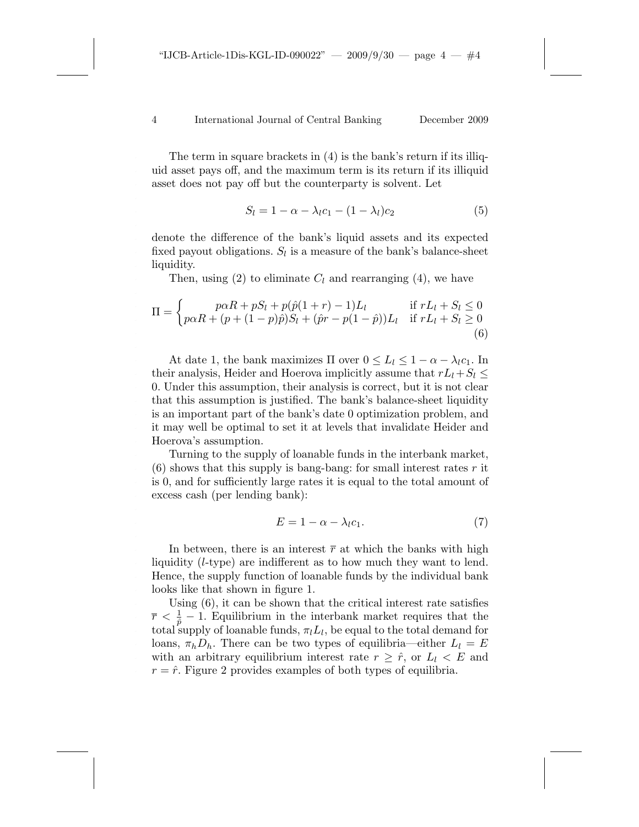4 International Journal of Central Banking December 2009

The term in square brackets in (4) is the bank's return if its illiquid asset pays off, and the maximum term is its return if its illiquid asset does not pay off but the counterparty is solvent. Let

$$
S_l = 1 - \alpha - \lambda_l c_1 - (1 - \lambda_l) c_2 \tag{5}
$$

denote the difference of the bank's liquid assets and its expected fixed payout obligations.  $S_l$  is a measure of the bank's balance-sheet liquidity.

Then, using (2) to eliminate  $C_l$  and rearranging (4), we have

$$
\Pi = \begin{cases} p\alpha R + pS_l + p(\hat{p}(1+r) - 1)L_l & \text{if } rL_l + S_l \le 0\\ p\alpha R + (p + (1-p)\hat{p})S_l + (\hat{p}r - p(1-\hat{p}))L_l & \text{if } rL_l + S_l \ge 0\\ 6) \end{cases}
$$

At date 1, the bank maximizes  $\Pi$  over  $0 \le L_l \le 1 - \alpha - \lambda_l c_1$ . In their analysis, Heider and Hoerova implicitly assume that  $rL_l+S_l \leq$ 0. Under this assumption, their analysis is correct, but it is not clear that this assumption is justified. The bank's balance-sheet liquidity is an important part of the bank's date 0 optimization problem, and it may well be optimal to set it at levels that invalidate Heider and Hoerova's assumption.

Turning to the supply of loanable funds in the interbank market,  $(6)$  shows that this supply is bang-bang: for small interest rates r it is 0, and for sufficiently large rates it is equal to the total amount of excess cash (per lending bank):

$$
E = 1 - \alpha - \lambda_l c_1. \tag{7}
$$

In between, there is an interest  $\bar{r}$  at which the banks with high liquidity (l-type) are indifferent as to how much they want to lend. Hence, the supply function of loanable funds by the individual bank looks like that shown in figure 1.

Using (6), it can be shown that the critical interest rate satisfies  $\bar{r} < \frac{1}{\hat{p}} - 1$ . Equilibrium in the interbank market requires that the total supply of loanable funds,  $\pi_l L_l$ , be equal to the total demand for loans,  $\pi_h D_h$ . There can be two types of equilibria—either  $L_l = E$ with an arbitrary equilibrium interest rate  $r \geq \hat{r}$ , or  $L_l \lt E$  and  $r = \hat{r}$ . Figure 2 provides examples of both types of equilibria.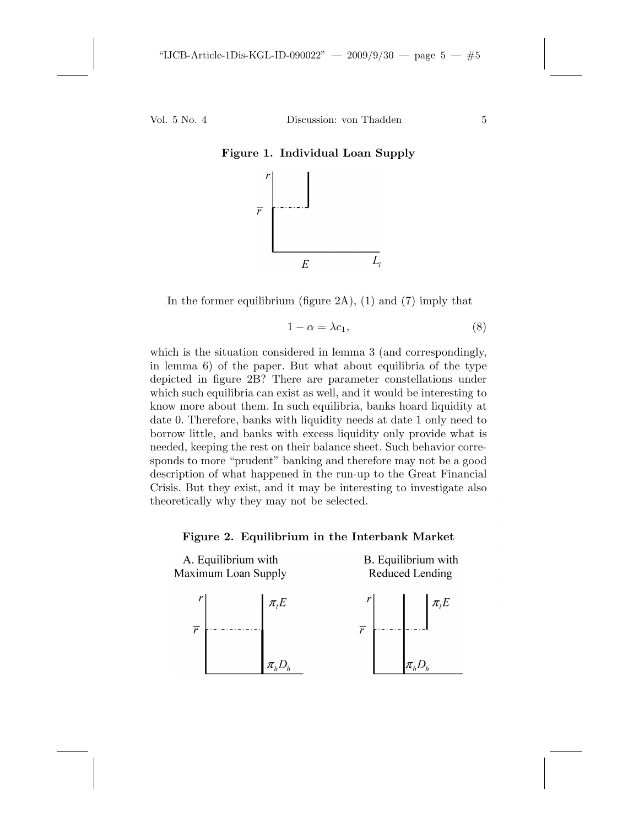Vol. 5 No. 4 Discussion: von Thadden 5



**Figure 1. Individual Loan Supply**

In the former equilibrium (figure  $2A$ ), (1) and (7) imply that

$$
1 - \alpha = \lambda c_1,\tag{8}
$$

which is the situation considered in lemma 3 (and correspondingly, in lemma 6) of the paper. But what about equilibria of the type depicted in figure 2B? There are parameter constellations under which such equilibria can exist as well, and it would be interesting to know more about them. In such equilibria, banks hoard liquidity at date 0. Therefore, banks with liquidity needs at date 1 only need to borrow little, and banks with excess liquidity only provide what is needed, keeping the rest on their balance sheet. Such behavior corresponds to more "prudent" banking and therefore may not be a good description of what happened in the run-up to the Great Financial Crisis. But they exist, and it may be interesting to investigate also theoretically why they may not be selected.